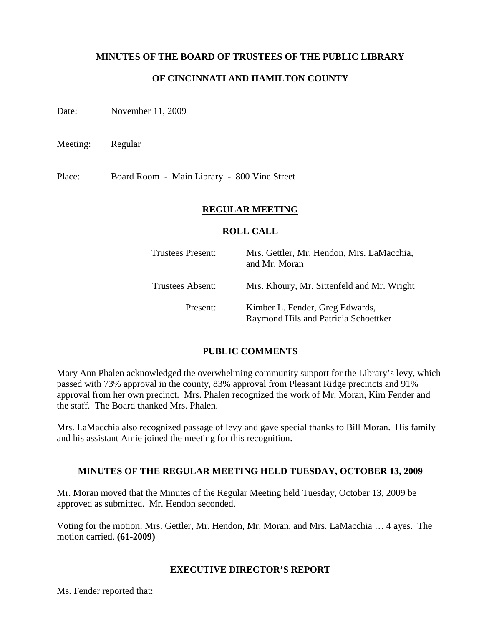### **MINUTES OF THE BOARD OF TRUSTEES OF THE PUBLIC LIBRARY**

# **OF CINCINNATI AND HAMILTON COUNTY**

Date: November 11, 2009

Meeting: Regular

Place: Board Room - Main Library - 800 Vine Street

#### **REGULAR MEETING**

#### **ROLL CALL**

| <b>Trustees Present:</b> | Mrs. Gettler, Mr. Hendon, Mrs. LaMacchia,<br>and Mr. Moran              |
|--------------------------|-------------------------------------------------------------------------|
| <b>Trustees Absent:</b>  | Mrs. Khoury, Mr. Sittenfeld and Mr. Wright                              |
| Present:                 | Kimber L. Fender, Greg Edwards,<br>Raymond Hils and Patricia Schoettker |

#### **PUBLIC COMMENTS**

Mary Ann Phalen acknowledged the overwhelming community support for the Library's levy, which passed with 73% approval in the county, 83% approval from Pleasant Ridge precincts and 91% approval from her own precinct. Mrs. Phalen recognized the work of Mr. Moran, Kim Fender and the staff. The Board thanked Mrs. Phalen.

Mrs. LaMacchia also recognized passage of levy and gave special thanks to Bill Moran. His family and his assistant Amie joined the meeting for this recognition.

#### **MINUTES OF THE REGULAR MEETING HELD TUESDAY, OCTOBER 13, 2009**

Mr. Moran moved that the Minutes of the Regular Meeting held Tuesday, October 13, 2009 be approved as submitted. Mr. Hendon seconded.

Voting for the motion: Mrs. Gettler, Mr. Hendon, Mr. Moran, and Mrs. LaMacchia … 4 ayes. The motion carried. **(61-2009)**

### **EXECUTIVE DIRECTOR'S REPORT**

Ms. Fender reported that: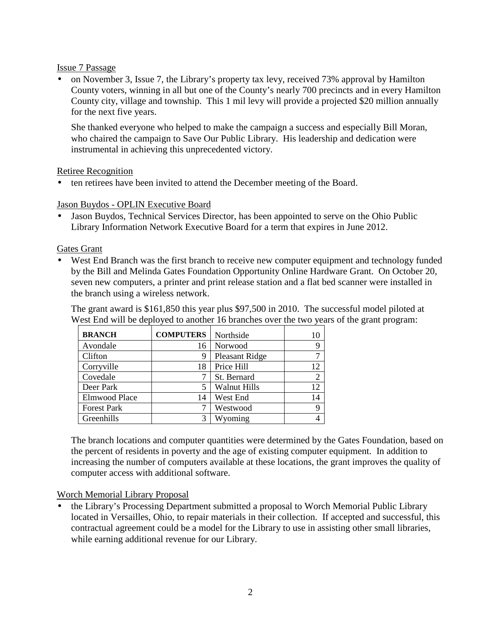#### Issue 7 Passage

• on November 3, Issue 7, the Library's property tax levy, received 73% approval by Hamilton County voters, winning in all but one of the County's nearly 700 precincts and in every Hamilton County city, village and township. This 1 mil levy will provide a projected \$20 million annually for the next five years.

She thanked everyone who helped to make the campaign a success and especially Bill Moran, who chaired the campaign to Save Our Public Library. His leadership and dedication were instrumental in achieving this unprecedented victory.

# Retiree Recognition

• ten retirees have been invited to attend the December meeting of the Board.

# Jason Buydos - OPLIN Executive Board

• Jason Buydos, Technical Services Director, has been appointed to serve on the Ohio Public Library Information Network Executive Board for a term that expires in June 2012.

# Gates Grant

• West End Branch was the first branch to receive new computer equipment and technology funded by the Bill and Melinda Gates Foundation Opportunity Online Hardware Grant. On October 20, seven new computers, a printer and print release station and a flat bed scanner were installed in the branch using a wireless network.

The grant award is \$161,850 this year plus \$97,500 in 2010. The successful model piloted at West End will be deployed to another 16 branches over the two years of the grant program:

| <b>BRANCH</b>        | <b>COMPUTERS</b> | Northside           |                |
|----------------------|------------------|---------------------|----------------|
| Avondale             | 16               | Norwood             |                |
| Clifton              | 9                | Pleasant Ridge      | ⇁              |
| Corryville           | 18               | Price Hill          | 12             |
| Covedale             |                  | St. Bernard         | $\overline{2}$ |
| Deer Park            |                  | <b>Walnut Hills</b> | 12             |
| <b>Elmwood Place</b> | 14               | West End            | 14             |
| <b>Forest Park</b>   |                  | Westwood            |                |
| Greenhills           | 3                | Wyoming             |                |

The branch locations and computer quantities were determined by the Gates Foundation, based on the percent of residents in poverty and the age of existing computer equipment. In addition to increasing the number of computers available at these locations, the grant improves the quality of computer access with additional software.

# Worch Memorial Library Proposal

• the Library's Processing Department submitted a proposal to Worch Memorial Public Library located in Versailles, Ohio, to repair materials in their collection. If accepted and successful, this contractual agreement could be a model for the Library to use in assisting other small libraries, while earning additional revenue for our Library.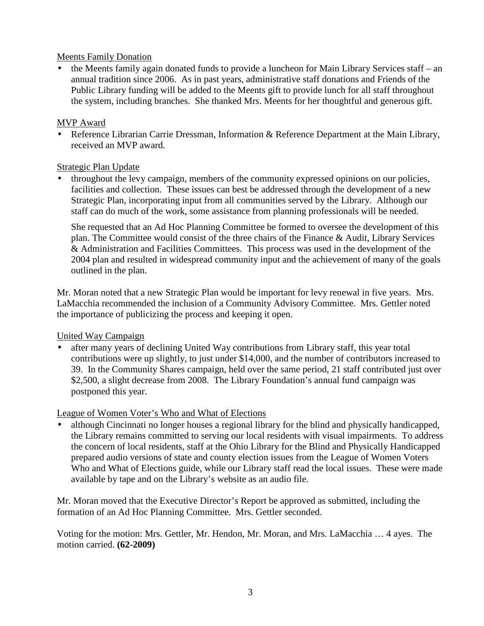### Meents Family Donation

• the Meents family again donated funds to provide a luncheon for Main Library Services staff – an annual tradition since 2006. As in past years, administrative staff donations and Friends of the Public Library funding will be added to the Meents gift to provide lunch for all staff throughout the system, including branches. She thanked Mrs. Meents for her thoughtful and generous gift.

### MVP Award

• Reference Librarian Carrie Dressman, Information & Reference Department at the Main Library, received an MVP award.

### Strategic Plan Update

• throughout the levy campaign, members of the community expressed opinions on our policies, facilities and collection. These issues can best be addressed through the development of a new Strategic Plan, incorporating input from all communities served by the Library. Although our staff can do much of the work, some assistance from planning professionals will be needed.

She requested that an Ad Hoc Planning Committee be formed to oversee the development of this plan. The Committee would consist of the three chairs of the Finance & Audit, Library Services & Administration and Facilities Committees. This process was used in the development of the 2004 plan and resulted in widespread community input and the achievement of many of the goals outlined in the plan.

Mr. Moran noted that a new Strategic Plan would be important for levy renewal in five years. Mrs. LaMacchia recommended the inclusion of a Community Advisory Committee. Mrs. Gettler noted the importance of publicizing the process and keeping it open.

#### United Way Campaign

• after many years of declining United Way contributions from Library staff, this year total contributions were up slightly, to just under \$14,000, and the number of contributors increased to 39. In the Community Shares campaign, held over the same period, 21 staff contributed just over \$2,500, a slight decrease from 2008. The Library Foundation's annual fund campaign was postponed this year.

#### League of Women Voter's Who and What of Elections

• although Cincinnati no longer houses a regional library for the blind and physically handicapped, the Library remains committed to serving our local residents with visual impairments. To address the concern of local residents, staff at the Ohio Library for the Blind and Physically Handicapped prepared audio versions of state and county election issues from the League of Women Voters Who and What of Elections guide, while our Library staff read the local issues. These were made available by tape and on the Library's website as an audio file.

Mr. Moran moved that the Executive Director's Report be approved as submitted, including the formation of an Ad Hoc Planning Committee. Mrs. Gettler seconded.

Voting for the motion: Mrs. Gettler, Mr. Hendon, Mr. Moran, and Mrs. LaMacchia … 4 ayes. The motion carried. **(62-2009)**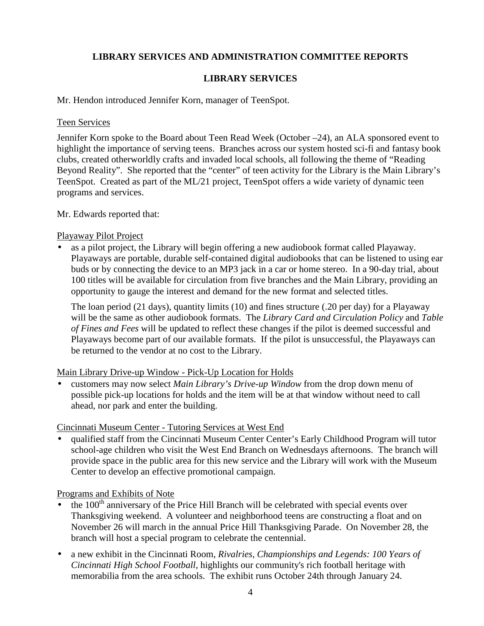# **LIBRARY SERVICES AND ADMINISTRATION COMMITTEE REPORTS**

# **LIBRARY SERVICES**

Mr. Hendon introduced Jennifer Korn, manager of TeenSpot.

#### Teen Services

Jennifer Korn spoke to the Board about Teen Read Week (October –24), an ALA sponsored event to highlight the importance of serving teens. Branches across our system hosted sci-fi and fantasy book clubs, created otherworldly crafts and invaded local schools, all following the theme of "Reading Beyond Reality". She reported that the "center" of teen activity for the Library is the Main Library's TeenSpot. Created as part of the ML/21 project, TeenSpot offers a wide variety of dynamic teen programs and services.

Mr. Edwards reported that:

### Playaway Pilot Project

• as a pilot project, the Library will begin offering a new audiobook format called Playaway. Playaways are portable, durable self-contained digital audiobooks that can be listened to using ear buds or by connecting the device to an MP3 jack in a car or home stereo. In a 90-day trial, about 100 titles will be available for circulation from five branches and the Main Library, providing an opportunity to gauge the interest and demand for the new format and selected titles.

The loan period (21 days), quantity limits (10) and fines structure (.20 per day) for a Playaway will be the same as other audiobook formats. The *Library Card and Circulation Policy* and *Table of Fines and Fees* will be updated to reflect these changes if the pilot is deemed successful and Playaways become part of our available formats. If the pilot is unsuccessful, the Playaways can be returned to the vendor at no cost to the Library.

#### Main Library Drive-up Window - Pick-Up Location for Holds

• customers may now select *Main Library's Drive-up Window* from the drop down menu of possible pick-up locations for holds and the item will be at that window without need to call ahead, nor park and enter the building.

# Cincinnati Museum Center - Tutoring Services at West End

• qualified staff from the Cincinnati Museum Center Center's Early Childhood Program will tutor school-age children who visit the West End Branch on Wednesdays afternoons. The branch will provide space in the public area for this new service and the Library will work with the Museum Center to develop an effective promotional campaign.

Programs and Exhibits of Note

- $\bullet$  the 100<sup>th</sup> anniversary of the Price Hill Branch will be celebrated with special events over Thanksgiving weekend. A volunteer and neighborhood teens are constructing a float and on November 26 will march in the annual Price Hill Thanksgiving Parade. On November 28, the branch will host a special program to celebrate the centennial.
- a new exhibit in the Cincinnati Room, *Rivalries, Championships and Legends: 100 Years of Cincinnati High School Football,* highlights our community's rich football heritage with memorabilia from the area schools. The exhibit runs October 24th through January 24.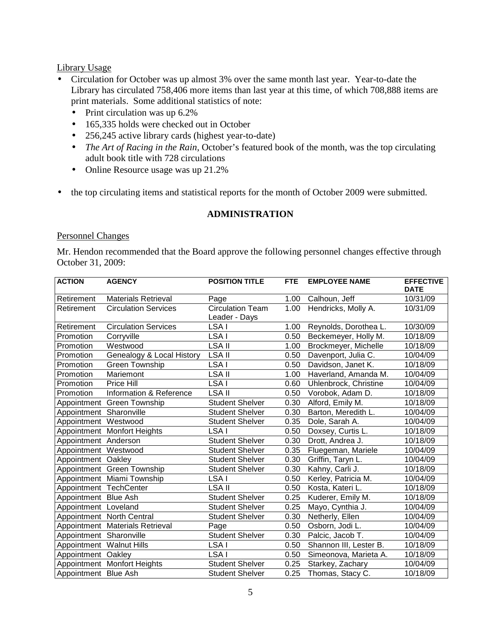#### Library Usage

- Circulation for October was up almost 3% over the same month last year. Year-to-date the Library has circulated 758,406 more items than last year at this time, of which 708,888 items are print materials. Some additional statistics of note:
	- Print circulation was up 6.2%
	- 165,335 holds were checked out in October
	- 256,245 active library cards (highest year-to-date)
	- *The Art of Racing in the Rain*, October's featured book of the month, was the top circulating adult book title with 728 circulations
	- Online Resource usage was up 21.2%
- the top circulating items and statistical reports for the month of October 2009 were submitted.

### **ADMINISTRATION**

#### Personnel Changes

Mr. Hendon recommended that the Board approve the following personnel changes effective through October 31, 2009:

| <b>ACTION</b>            | <b>AGENCY</b>                   | <b>POSITION TITLE</b>                    | FTE  | <b>EMPLOYEE NAME</b>   | <b>EFFECTIVE</b><br><b>DATE</b> |
|--------------------------|---------------------------------|------------------------------------------|------|------------------------|---------------------------------|
| Retirement               | <b>Materials Retrieval</b>      | Page                                     | 1.00 | Calhoun, Jeff          | 10/31/09                        |
| Retirement               | <b>Circulation Services</b>     | <b>Circulation Team</b><br>Leader - Days | 1.00 | Hendricks, Molly A.    | 10/31/09                        |
| Retirement               | <b>Circulation Services</b>     | LSA I                                    | 1.00 | Reynolds, Dorothea L.  | 10/30/09                        |
| Promotion                | Corryville                      | LSA I                                    | 0.50 | Beckemeyer, Holly M.   | 10/18/09                        |
| Promotion                | Westwood                        | <b>LSA II</b>                            | 1.00 | Brockmeyer, Michelle   | 10/18/09                        |
| Promotion                | Genealogy & Local History       | LSA II                                   | 0.50 | Davenport, Julia C.    | 10/04/09                        |
| Promotion                | <b>Green Township</b>           | LSA I                                    | 0.50 | Davidson, Janet K.     | 10/18/09                        |
| Promotion                | Mariemont                       | <b>LSAII</b>                             | 1.00 | Haverland, Amanda M.   | 10/04/09                        |
| Promotion                | Price Hill                      | LSA I                                    | 0.60 | Uhlenbrock, Christine  | 10/04/09                        |
| Promotion                | Information & Reference         | <b>LSAII</b>                             | 0.50 | Vorobok, Adam D.       | 10/18/09                        |
|                          | Appointment Green Township      | <b>Student Shelver</b>                   | 0.30 | Alford, Emily M.       | 10/18/09                        |
| Appointment Sharonville  |                                 | <b>Student Shelver</b>                   | 0.30 | Barton, Meredith L.    | 10/04/09                        |
| Appointment Westwood     |                                 | <b>Student Shelver</b>                   | 0.35 | Dole, Sarah A.         | 10/04/09                        |
|                          | Appointment Monfort Heights     | LSA I                                    | 0.50 | Doxsey, Curtis L.      | 10/18/09                        |
| Appointment Anderson     |                                 | <b>Student Shelver</b>                   | 0.30 | Drott, Andrea J.       | 10/18/09                        |
| Appointment Westwood     |                                 | <b>Student Shelver</b>                   | 0.35 | Fluegeman, Mariele     | 10/04/09                        |
| Appointment Oakley       |                                 | <b>Student Shelver</b>                   | 0.30 | Griffin, Taryn L.      | 10/04/09                        |
|                          | Appointment Green Township      | <b>Student Shelver</b>                   | 0.30 | Kahny, Carli J.        | 10/18/09                        |
|                          | Appointment Miami Township      | LSA I                                    | 0.50 | Kerley, Patricia M.    | 10/04/09                        |
| Appointment TechCenter   |                                 | <b>LSA II</b>                            | 0.50 | Kosta, Kateri L.       | 10/18/09                        |
| Appointment Blue Ash     |                                 | <b>Student Shelver</b>                   | 0.25 | Kuderer, Emily M.      | 10/18/09                        |
| Appointment Loveland     |                                 | <b>Student Shelver</b>                   | 0.25 | Mayo, Cynthia J.       | 10/04/09                        |
|                          | Appointment North Central       | <b>Student Shelver</b>                   | 0.30 | Netherly, Ellen        | 10/04/09                        |
|                          | Appointment Materials Retrieval | Page                                     | 0.50 | Osborn, Jodi L.        | 10/04/09                        |
| Appointment Sharonville  |                                 | <b>Student Shelver</b>                   | 0.30 | Palcic, Jacob T.       | 10/04/09                        |
| Appointment Walnut Hills |                                 | LSA I                                    | 0.50 | Shannon III, Lester B. | 10/18/09                        |
| Appointment Oakley       |                                 | LSA I                                    | 0.50 | Simeonova, Marieta A.  | 10/18/09                        |
|                          | Appointment Monfort Heights     | <b>Student Shelver</b>                   | 0.25 | Starkey, Zachary       | 10/04/09                        |
| Appointment Blue Ash     |                                 | <b>Student Shelver</b>                   | 0.25 | Thomas, Stacy C.       | 10/18/09                        |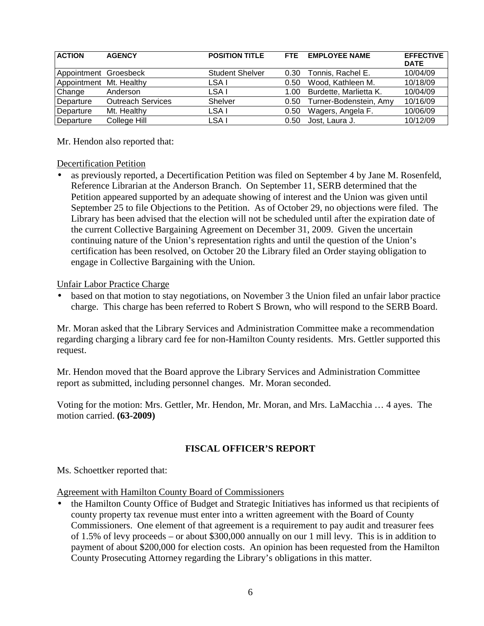| <b>ACTION</b>           | <b>AGENCY</b>            | <b>POSITION TITLE</b>  | <b>FTF</b> | <b>EMPLOYEE NAME</b>   | <b>EFFECTIVE</b><br><b>DATE</b> |
|-------------------------|--------------------------|------------------------|------------|------------------------|---------------------------------|
| Appointment Groesbeck   |                          | <b>Student Shelver</b> | 0.30       | Tonnis, Rachel E.      | 10/04/09                        |
| Appointment Mt. Healthy |                          | LSA I                  | 0.50       | Wood, Kathleen M.      | 10/18/09                        |
| Change                  | Anderson                 | LSA I                  | 1.00       | Burdette, Marlietta K. | 10/04/09                        |
| Departure               | <b>Outreach Services</b> | Shelver                | 0.50       | Turner-Bodenstein, Amy | 10/16/09                        |
| Departure               | Mt. Healthy              | LSA I                  | 0.50       | Wagers, Angela F.      | 10/06/09                        |
| Departure               | College Hill             | LSA I                  | 0.50       | Jost. Laura J.         | 10/12/09                        |

Mr. Hendon also reported that:

### Decertification Petition

• as previously reported, a Decertification Petition was filed on September 4 by Jane M. Rosenfeld, Reference Librarian at the Anderson Branch. On September 11, SERB determined that the Petition appeared supported by an adequate showing of interest and the Union was given until September 25 to file Objections to the Petition. As of October 29, no objections were filed. The Library has been advised that the election will not be scheduled until after the expiration date of the current Collective Bargaining Agreement on December 31, 2009. Given the uncertain continuing nature of the Union's representation rights and until the question of the Union's certification has been resolved, on October 20 the Library filed an Order staying obligation to engage in Collective Bargaining with the Union.

### Unfair Labor Practice Charge

based on that motion to stay negotiations, on November 3 the Union filed an unfair labor practice charge. This charge has been referred to Robert S Brown, who will respond to the SERB Board.

Mr. Moran asked that the Library Services and Administration Committee make a recommendation regarding charging a library card fee for non-Hamilton County residents. Mrs. Gettler supported this request.

Mr. Hendon moved that the Board approve the Library Services and Administration Committee report as submitted, including personnel changes. Mr. Moran seconded.

Voting for the motion: Mrs. Gettler, Mr. Hendon, Mr. Moran, and Mrs. LaMacchia … 4 ayes. The motion carried. **(63-2009)**

# **FISCAL OFFICER'S REPORT**

Ms. Schoettker reported that:

Agreement with Hamilton County Board of Commissioners

• the Hamilton County Office of Budget and Strategic Initiatives has informed us that recipients of county property tax revenue must enter into a written agreement with the Board of County Commissioners. One element of that agreement is a requirement to pay audit and treasurer fees of 1.5% of levy proceeds – or about \$300,000 annually on our 1 mill levy. This is in addition to payment of about \$200,000 for election costs. An opinion has been requested from the Hamilton County Prosecuting Attorney regarding the Library's obligations in this matter.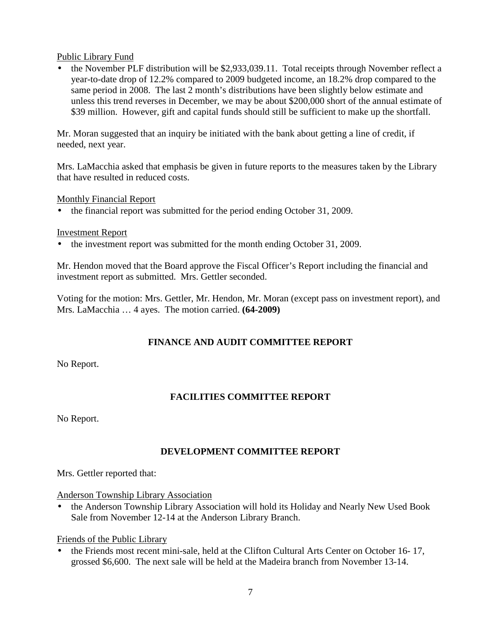### Public Library Fund

• the November PLF distribution will be \$2,933,039.11. Total receipts through November reflect a year-to-date drop of 12.2% compared to 2009 budgeted income, an 18.2% drop compared to the same period in 2008. The last 2 month's distributions have been slightly below estimate and unless this trend reverses in December, we may be about \$200,000 short of the annual estimate of \$39 million. However, gift and capital funds should still be sufficient to make up the shortfall.

Mr. Moran suggested that an inquiry be initiated with the bank about getting a line of credit, if needed, next year.

Mrs. LaMacchia asked that emphasis be given in future reports to the measures taken by the Library that have resulted in reduced costs.

### Monthly Financial Report

• the financial report was submitted for the period ending October 31, 2009.

#### Investment Report

• the investment report was submitted for the month ending October 31, 2009.

Mr. Hendon moved that the Board approve the Fiscal Officer's Report including the financial and investment report as submitted. Mrs. Gettler seconded.

Voting for the motion: Mrs. Gettler, Mr. Hendon, Mr. Moran (except pass on investment report), and Mrs. LaMacchia … 4 ayes. The motion carried. **(64-2009)**

# **FINANCE AND AUDIT COMMITTEE REPORT**

No Report.

# **FACILITIES COMMITTEE REPORT**

No Report.

# **DEVELOPMENT COMMITTEE REPORT**

Mrs. Gettler reported that:

Anderson Township Library Association

• the Anderson Township Library Association will hold its Holiday and Nearly New Used Book Sale from November 12-14 at the Anderson Library Branch.

Friends of the Public Library

• the Friends most recent mini-sale, held at the Clifton Cultural Arts Center on October 16- 17, grossed \$6,600. The next sale will be held at the Madeira branch from November 13-14.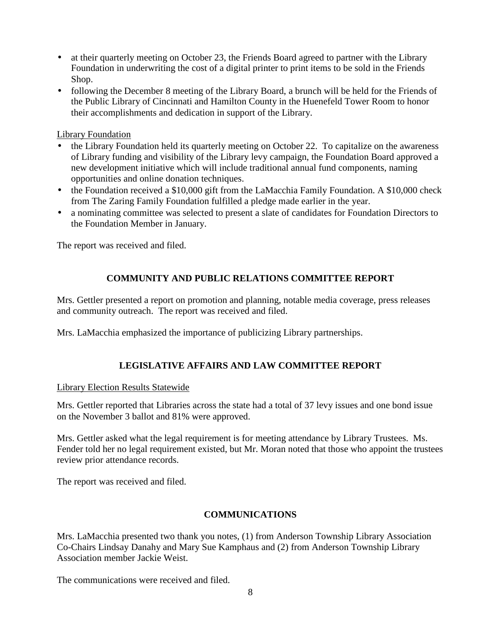- at their quarterly meeting on October 23, the Friends Board agreed to partner with the Library Foundation in underwriting the cost of a digital printer to print items to be sold in the Friends Shop.
- following the December 8 meeting of the Library Board, a brunch will be held for the Friends of the Public Library of Cincinnati and Hamilton County in the Huenefeld Tower Room to honor their accomplishments and dedication in support of the Library.

### Library Foundation

- the Library Foundation held its quarterly meeting on October 22. To capitalize on the awareness of Library funding and visibility of the Library levy campaign, the Foundation Board approved a new development initiative which will include traditional annual fund components, naming opportunities and online donation techniques.
- the Foundation received a \$10,000 gift from the LaMacchia Family Foundation. A \$10,000 check from The Zaring Family Foundation fulfilled a pledge made earlier in the year.
- a nominating committee was selected to present a slate of candidates for Foundation Directors to the Foundation Member in January.

The report was received and filed.

# **COMMUNITY AND PUBLIC RELATIONS COMMITTEE REPORT**

Mrs. Gettler presented a report on promotion and planning, notable media coverage, press releases and community outreach. The report was received and filed.

Mrs. LaMacchia emphasized the importance of publicizing Library partnerships.

# **LEGISLATIVE AFFAIRS AND LAW COMMITTEE REPORT**

#### Library Election Results Statewide

Mrs. Gettler reported that Libraries across the state had a total of 37 levy issues and one bond issue on the November 3 ballot and 81% were approved.

Mrs. Gettler asked what the legal requirement is for meeting attendance by Library Trustees. Ms. Fender told her no legal requirement existed, but Mr. Moran noted that those who appoint the trustees review prior attendance records.

The report was received and filed.

# **COMMUNICATIONS**

Mrs. LaMacchia presented two thank you notes, (1) from Anderson Township Library Association Co-Chairs Lindsay Danahy and Mary Sue Kamphaus and (2) from Anderson Township Library Association member Jackie Weist.

The communications were received and filed.